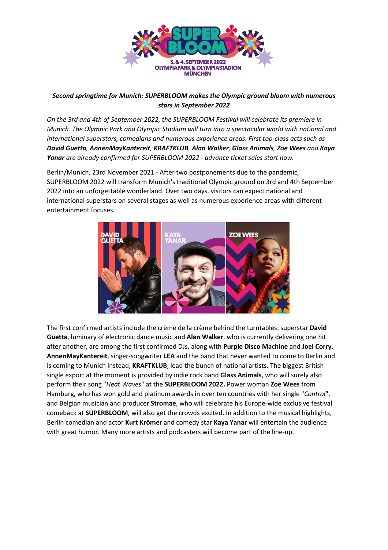

## *Second springtime for Munich: SUPERBLOOM makes the Olympic ground bloom with numerous stars in September 2022*

*On the 3rd and 4th of September 2022, the SUPERBLOOM Festival will celebrate its premiere in Munich. The Olympic Park and Olympic Stadium will turn into a spectacular world with national and international superstars, comedians and numerous experience areas. First top-class acts such as David Guetta, AnnenMayKantereit, KRAFTKLUB, Alan Walker, Glass Animals, Zoe Wees and Kaya Yanar are already confirmed for SUPERBLOOM 2022 - advance ticket sales start now.*

Berlin/Munich, 23rd November 2021 - After two postponements due to the pandemic, SUPERBLOOM 2022 will transform Munich's traditional Olympic ground on 3rd and 4th September 2022 into an unforgettable wonderland. Over two days, visitors can expect national and international superstars on several stages as well as numerous experience areas with different entertainment focuses.



The first confirmed artists include the crème de la crème behind the turntables: superstar **David Guetta**, luminary of electronic dance music and **Alan Walker**, who is currently delivering one hit after another, are among the first confirmed DJs, along with **Purple Disco Machine** and **Joel Corry**. **AnnenMayKantereit**, singer-songwriter **LEA** and the band that never wanted to come to Berlin and is coming to Munich instead, **KRAFTKLUB**, lead the bunch of national artists. The biggest British single export at the moment is provided by indie rock band **Glass Animals**, who will surely also perform their song "*Heat Waves*" at the **SUPERBLOOM 2022.** Power woman **Zoe Wees** from Hamburg, who has won gold and platinum awards in over ten countries with her single "*Control*", and Belgian musician and producer **Stromae**, who will celebrate his Europe-wide exclusive festival comeback at **SUPERBLOOM**, will also get the crowds excited. In addition to the musical highlights, Berlin comedian and actor **Kurt Krömer** and comedy star **Kaya Yanar** will entertain the audience with great humor. Many more artists and podcasters will become part of the line-up.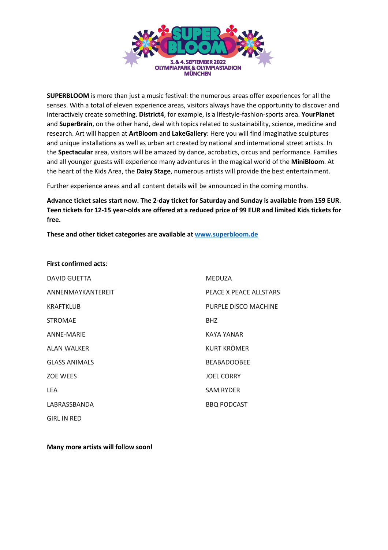

**SUPERBLOOM** is more than just a music festival: the numerous areas offer experiences for all the senses. With a total of eleven experience areas, visitors always have the opportunity to discover and interactively create something. **District4**, for example, is a lifestyle-fashion-sports area. **YourPlanet** and **SuperBrain**, on the other hand, deal with topics related to sustainability, science, medicine and research. Art will happen at **ArtBloom** and **LakeGallery**: Here you will find imaginative sculptures and unique installations as well as urban art created by national and international street artists. In the **Spectacular** area, visitors will be amazed by dance, acrobatics, circus and performance. Families and all younger guests will experience many adventures in the magical world of the **MiniBloom**. At the heart of the Kids Area, the **Daisy Stage**, numerous artists will provide the best entertainment.

Further experience areas and all content details will be announced in the coming months.

**Advance ticket sales start now. The 2-day ticket for Saturday and Sunday is available from 159 EUR. Teen tickets for 12-15 year-olds are offered at a reduced price of 99 EUR and limited Kids tickets for free.** 

**These and other ticket categories are available at www.superbloom.de**

## **First confirmed acts**:

| <b>DAVID GUETTA</b>  | <b>MEDUZA</b>          |
|----------------------|------------------------|
| ANNENMAYKANTEREIT    | PEACE X PEACE ALLSTARS |
| <b>KRAFTKLUB</b>     | PURPLE DISCO MACHINE   |
| <b>STROMAE</b>       | BHZ                    |
| ANNE-MARIE           | KAYA YANAR             |
| <b>ALAN WALKER</b>   | <b>KURT KRÖMER</b>     |
| <b>GLASS ANIMALS</b> | <b>BEABADOOBEE</b>     |
| <b>ZOE WEES</b>      | <b>JOEL CORRY</b>      |
| <b>LEA</b>           | <b>SAM RYDER</b>       |
| LABRASSBANDA         | <b>BBQ PODCAST</b>     |
| <b>GIRL IN RED</b>   |                        |

## **Many more artists will follow soon!**